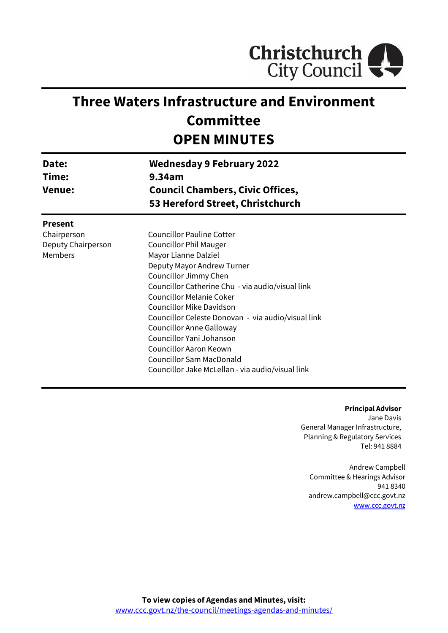

# **Three Waters Infrastructure and Environment Committee OPEN MINUTES**

| Date:<br>Time:<br><b>Venue:</b> | <b>Wednesday 9 February 2022</b><br>9.34am<br><b>Council Chambers, Civic Offices,</b><br>53 Hereford Street, Christchurch |
|---------------------------------|---------------------------------------------------------------------------------------------------------------------------|
| <b>Present</b>                  |                                                                                                                           |
| Chairperson                     | <b>Councillor Pauline Cotter</b>                                                                                          |
| Deputy Chairperson              | <b>Councillor Phil Mauger</b>                                                                                             |
| <b>Members</b>                  | Mayor Lianne Dalziel                                                                                                      |
|                                 | Deputy Mayor Andrew Turner                                                                                                |
|                                 | Councillor Jimmy Chen                                                                                                     |
|                                 | Councillor Catherine Chu - via audio/visual link                                                                          |
|                                 | <b>Councillor Melanie Coker</b>                                                                                           |
|                                 | Councillor Mike Davidson                                                                                                  |
|                                 | Councillor Celeste Donovan - via audio/visual link                                                                        |
|                                 | Councillor Anne Galloway                                                                                                  |
|                                 | Councillor Yani Johanson                                                                                                  |
|                                 | Councillor Aaron Keown                                                                                                    |
|                                 | <b>Councillor Sam MacDonald</b>                                                                                           |
|                                 | Councillor Jake McLellan - via audio/visual link                                                                          |

**Principal Advisor** Jane Davis General Manager Infrastructure, Planning & Regulatory Services Tel: 941 8884

Andrew Campbell Committee & Hearings Advisor 941 8340 andrew.campbell@ccc.govt.nz [www.ccc.govt.nz](http://www.ccc.govt.nz/)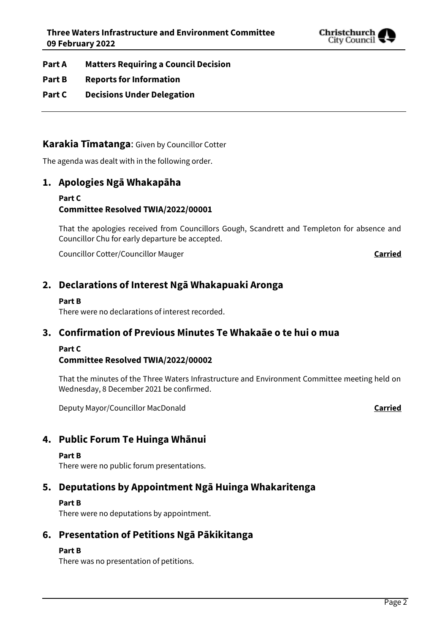

- **Part A Matters Requiring a Council Decision**
- **Part B Reports for Information**
- **Part C Decisions Under Delegation**

# **Karakia Tīmatanga**: Given by Councillor Cotter

The agenda was dealt with in the following order.

# **1. Apologies Ngā Whakapāha**

### **Part C Committee Resolved TWIA/2022/00001**

That the apologies received from Councillors Gough, Scandrett and Templeton for absence and Councillor Chu for early departure be accepted.

Councillor Cotter/Councillor Mauger **Carried**

# **2. Declarations of Interest Ngā Whakapuaki Aronga**

### **Part B**

There were no declarations of interest recorded.

# **3. Confirmation of Previous Minutes Te Whakaāe o te hui o mua**

### **Part C**

# **Committee Resolved TWIA/2022/00002**

That the minutes of the Three Waters Infrastructure and Environment Committee meeting held on Wednesday, 8 December 2021 be confirmed.

Deputy Mayor/Councillor MacDonald **Carried**

# **4. Public Forum Te Huinga Whānui**

#### **Part B**

There were no public forum presentations.

# **5. Deputations by Appointment Ngā Huinga Whakaritenga**

### **Part B**

There were no deputations by appointment.

# **6. Presentation of Petitions Ngā Pākikitanga**

### **Part B**

There was no presentation of petitions.